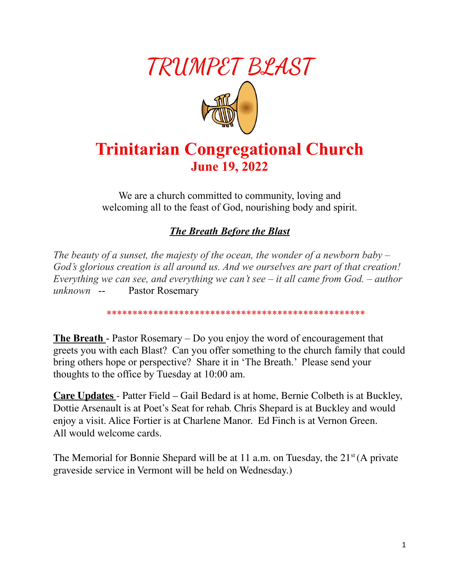

# **Trinitarian Congregational Church June 19, 2022**

We are a church committed to community, loving and welcoming all to the feast of God, nourishing body and spirit.

#### *The Breath Before the Blast*

*The beauty of a sunset, the majesty of the ocean, the wonder of a newborn baby – God's glorious creation is all around us. And we ourselves are part of that creation! Everything we can see, and everything we can't see – it all came from God. – author unknown* -- Pastor Rosemary

\*\*\*\*\*\*\*\*\*\*\*\*\*\*\*\*\*\*\*\*\*\*\*\*\*\*\*\*\*\*\*\*\*\*\*\*\*\*\*\*\*\*\*\*\*\*\*\*\*\*

**The Breath** - Pastor Rosemary – Do you enjoy the word of encouragement that greets you with each Blast? Can you offer something to the church family that could bring others hope or perspective? Share it in 'The Breath.' Please send your thoughts to the office by Tuesday at 10:00 am.

**Care Updates** - Patter Field – Gail Bedard is at home, Bernie Colbeth is at Buckley, Dottie Arsenault is at Poet's Seat for rehab. Chris Shepard is at Buckley and would enjoy a visit. Alice Fortier is at Charlene Manor. Ed Finch is at Vernon Green. All would welcome cards.

The Memorial for Bonnie Shepard will be at 11 a.m. on Tuesday, the 21<sup>st</sup> (A private graveside service in Vermont will be held on Wednesday.)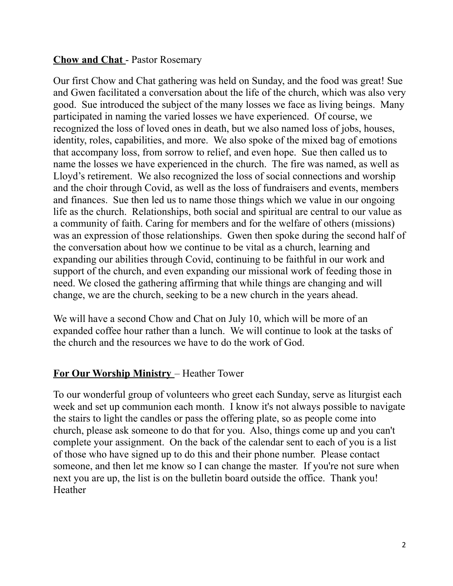#### **Chow and Chat** - Pastor Rosemary

Our first Chow and Chat gathering was held on Sunday, and the food was great! Sue and Gwen facilitated a conversation about the life of the church, which was also very good. Sue introduced the subject of the many losses we face as living beings. Many participated in naming the varied losses we have experienced. Of course, we recognized the loss of loved ones in death, but we also named loss of jobs, houses, identity, roles, capabilities, and more. We also spoke of the mixed bag of emotions that accompany loss, from sorrow to relief, and even hope. Sue then called us to name the losses we have experienced in the church. The fire was named, as well as Lloyd's retirement. We also recognized the loss of social connections and worship and the choir through Covid, as well as the loss of fundraisers and events, members and finances. Sue then led us to name those things which we value in our ongoing life as the church. Relationships, both social and spiritual are central to our value as a community of faith. Caring for members and for the welfare of others (missions) was an expression of those relationships. Gwen then spoke during the second half of the conversation about how we continue to be vital as a church, learning and expanding our abilities through Covid, continuing to be faithful in our work and support of the church, and even expanding our missional work of feeding those in need. We closed the gathering affirming that while things are changing and will change, we are the church, seeking to be a new church in the years ahead.

We will have a second Chow and Chat on July 10, which will be more of an expanded coffee hour rather than a lunch. We will continue to look at the tasks of the church and the resources we have to do the work of God.

# **For Our Worship Ministry** – Heather Tower

To our wonderful group of volunteers who greet each Sunday, serve as liturgist each week and set up communion each month. I know it's not always possible to navigate the stairs to light the candles or pass the offering plate, so as people come into church, please ask someone to do that for you. Also, things come up and you can't complete your assignment. On the back of the calendar sent to each of you is a list of those who have signed up to do this and their phone number. Please contact someone, and then let me know so I can change the master. If you're not sure when next you are up, the list is on the bulletin board outside the office. Thank you! Heather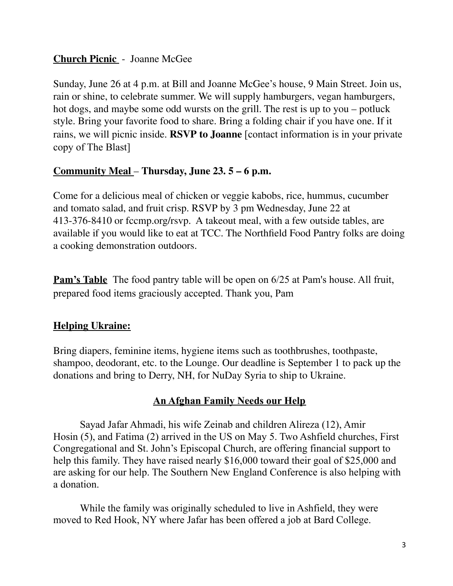#### **Church Picnic** - Joanne McGee

Sunday, June 26 at 4 p.m. at Bill and Joanne McGee's house, 9 Main Street. Join us, rain or shine, to celebrate summer. We will supply hamburgers, vegan hamburgers, hot dogs, and maybe some odd wursts on the grill. The rest is up to you – potluck style. Bring your favorite food to share. Bring a folding chair if you have one. If it rains, we will picnic inside. **RSVP to Joanne** [contact information is in your private copy of The Blast]

#### **Community Meal** – **Thursday, June 23. 5 – 6 p.m.**

Come for a delicious meal of chicken or veggie kabobs, rice, hummus, cucumber and tomato salad, and fruit crisp. RSVP by 3 pm Wednesday, June 22 at 413-376-8410 or fccmp.org/rsvp. A takeout meal, with a few outside tables, are available if you would like to eat at TCC. The Northfield Food Pantry folks are doing a cooking demonstration outdoors.

**Pam's Table** The food pantry table will be open on 6/25 at Pam's house. All fruit, prepared food items graciously accepted. Thank you, Pam

# **Helping Ukraine:**

Bring diapers, feminine items, hygiene items such as toothbrushes, toothpaste, shampoo, deodorant, etc. to the Lounge. Our deadline is September 1 to pack up the donations and bring to Derry, NH, for NuDay Syria to ship to Ukraine.

# **An Afghan Family Needs our Help**

Sayad Jafar Ahmadi, his wife Zeinab and children Alireza (12), Amir Hosin (5), and Fatima (2) arrived in the US on May 5. Two Ashfield churches, First Congregational and St. John's Episcopal Church, are offering financial support to help this family. They have raised nearly \$16,000 toward their goal of \$25,000 and are asking for our help. The Southern New England Conference is also helping with a donation.

While the family was originally scheduled to live in Ashfield, they were moved to Red Hook, NY where Jafar has been offered a job at Bard College.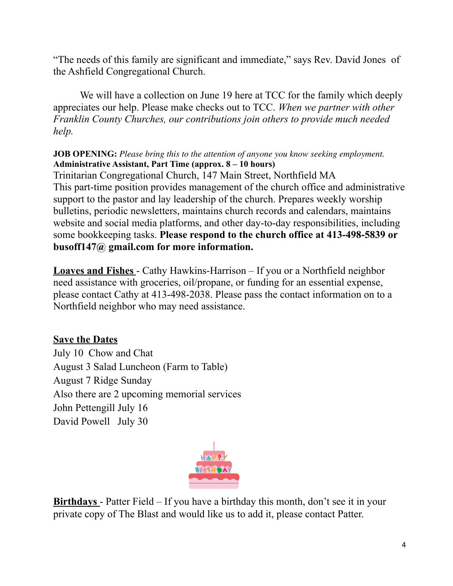"The needs of this family are significant and immediate," says Rev. David Jones of the Ashfield Congregational Church.

We will have a collection on June 19 here at TCC for the family which deeply appreciates our help. Please make checks out to TCC. *When we partner with other Franklin County Churches, our contributions join others to provide much needed help.*

#### **JOB OPENING:** *Please bring this to the attention of anyone you know seeking employment.* **Administrative Assistant, Part Time (approx. 8 – 10 hours)**

Trinitarian Congregational Church, 147 Main Street, Northfield MA This part-time position provides management of the church office and administrative support to the pastor and lay leadership of the church. Prepares weekly worship bulletins, periodic newsletters, maintains church records and calendars, maintains website and social media platforms, and other day-to-day responsibilities, including some bookkeeping tasks. **Please respond to the church office at 413-498-5839 or busoff147@ gmail.com for more information.**

**Loaves and Fishes** - Cathy Hawkins-Harrison – If you or a Northfield neighbor need assistance with groceries, oil/propane, or funding for an essential expense, please contact Cathy at 413-498-2038. Please pass the contact information on to a Northfield neighbor who may need assistance.

# **Save the Dates**

July 10 Chow and Chat August 3 Salad Luncheon (Farm to Table) August 7 Ridge Sunday Also there are 2 upcoming memorial services John Pettengill July 16 David Powell July 30



**Birthdays** - Patter Field – If you have a birthday this month, don't see it in your private copy of The Blast and would like us to add it, please contact Patter.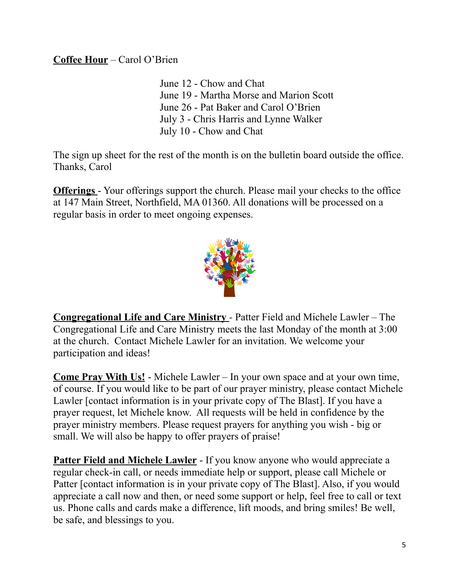#### **Coffee Hour** – Carol O'Brien

June 12 - Chow and Chat June 19 - Martha Morse and Marion Scott June 26 - Pat Baker and Carol O'Brien July 3 - Chris Harris and Lynne Walker July 10 - Chow and Chat

The sign up sheet for the rest of the month is on the bulletin board outside the office. Thanks, Carol

**Offerings** - Your offerings support the church. Please mail your checks to the office at 147 Main Street, Northfield, MA 01360. All donations will be processed on a regular basis in order to meet ongoing expenses.



**Congregational Life and Care Ministry** - Patter Field and Michele Lawler – The Congregational Life and Care Ministry meets the last Monday of the month at 3:00 at the church. Contact Michele Lawler for an invitation. We welcome your participation and ideas!

**Come Pray With Us!** - Michele Lawler – In your own space and at your own time, of course. If you would like to be part of our prayer ministry, please contact Michele Lawler [contact information is in your private copy of The Blast]. If you have a prayer request, let Michele know. All requests will be held in confidence by the prayer ministry members. Please request prayers for anything you wish - big or small. We will also be happy to offer prayers of praise!

**Patter Field and Michele Lawler** - If you know anyone who would appreciate a regular check-in call, or needs immediate help or support, please call Michele or Patter [contact information is in your private copy of The Blast]. Also, if you would appreciate a call now and then, or need some support or help, feel free to call or text us. Phone calls and cards make a difference, lift moods, and bring smiles! Be well, be safe, and blessings to you.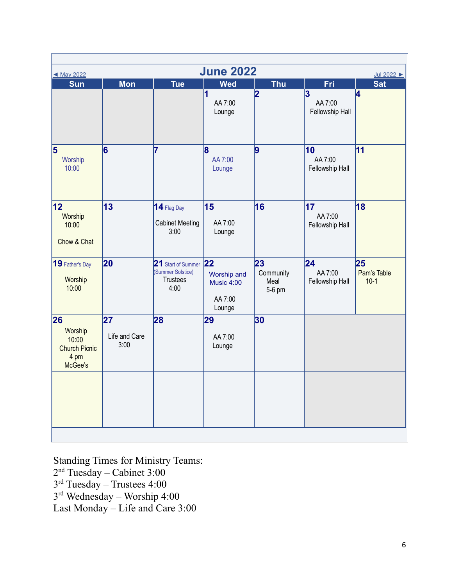| <b>June 2022</b><br>◀ May 2022<br>Jul 2022                        |                             |                                                                    |                                                                          |                                   |                                                       |                             |
|-------------------------------------------------------------------|-----------------------------|--------------------------------------------------------------------|--------------------------------------------------------------------------|-----------------------------------|-------------------------------------------------------|-----------------------------|
| <b>Sun</b>                                                        | <b>Mon</b>                  | <b>Tue</b>                                                         | <b>Wed</b>                                                               | <b>Thu</b>                        | Fri                                                   | <b>Sat</b>                  |
|                                                                   |                             |                                                                    | 1<br>AA 7:00<br>Lounge                                                   | 2                                 | $\overline{\mathbf{3}}$<br>AA 7:00<br>Fellowship Hall | 4                           |
| $\overline{\mathbf{5}}$<br>Worship<br>10:00                       | 6                           | 7                                                                  | $\bf{8}$<br>AA 7:00<br>Lounge                                            | 9                                 | 10<br>AA 7:00<br>Fellowship Hall                      | 11                          |
| 12 <br>Worship<br>10:00<br>Chow & Chat                            | 13                          | 14 Flag Day<br><b>Cabinet Meeting</b><br>3:00                      | 15<br>AA 7:00<br>Lounge                                                  | 16                                | 17<br>AA 7:00<br>Fellowship Hall                      | 18                          |
| 19 Father's Day<br>Worship<br>10:00                               | 20                          | 21 Start of Summer<br>(Summer Solstice)<br><b>Trustees</b><br>4:00 | $\overline{22}$<br>Worship and<br><b>Music 4:00</b><br>AA 7:00<br>Lounge | 23<br>Community<br>Meal<br>5-6 pm | 24<br>AA 7:00<br>Fellowship Hall                      | 25<br>Pam's Table<br>$10-1$ |
| 26<br>Worship<br>10:00<br><b>Church Picnic</b><br>4 pm<br>McGee's | 27<br>Life and Care<br>3:00 | 28                                                                 | 29<br>AA 7:00<br>Lounge                                                  | 30                                |                                                       |                             |

Standing Times for Ministry Teams: 2 nd Tuesday – Cabinet 3:00 3 rd Tuesday – Trustees 4:00 3 rd Wednesday – Worship 4:00 Last Monday – Life and Care 3:00